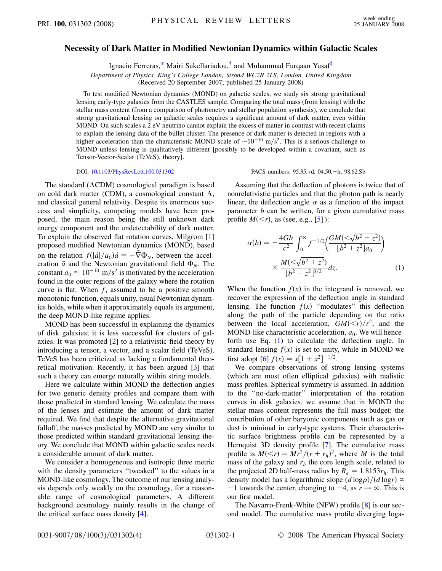## <span id="page-0-1"></span>**Necessity of Dark Matter in Modified Newtonian Dynamics within Galactic Scales**

Ignacio Ferreras[,\\*](#page-3-0) Mairi Sakellariadou,[†](#page-3-1) and Muhammad Furqaan Yusa[f‡](#page-3-2)

*Department of Physics, King's College London, Strand WC2R 2LS, London, United Kingdom*

(Received 20 September 2007; published 25 January 2008)

To test modified Newtonian dynamics (MOND) on galactic scales, we study six strong gravitational lensing early-type galaxies from the CASTLES sample. Comparing the total mass (from lensing) with the stellar mass content (from a comparison of photometry and stellar population synthesis), we conclude that strong gravitational lensing on galactic scales requires a significant amount of dark matter, even within MOND. On such scales a 2 eV neutrino cannot explain the excess of matter in contrast with recent claims to explain the lensing data of the bullet cluster. The presence of dark matter is detected in regions with a higher acceleration than the characteristic MOND scale of  $\sim 10^{-10}$  m/s<sup>2</sup>. This is a serious challenge to MOND unless lensing is qualitatively different [possibly to be developed within a covariant, such as Tensor-Vector-Scalar (TeVeS), theory].

DOI: [10.1103/PhysRevLett.100.031302](http://dx.doi.org/10.1103/PhysRevLett.100.031302)

The standard  $(ACDM)$  cosmological paradigm is based on cold dark matter (CDM), a cosmological constant  $\Lambda$ , and classical general relativity. Despite its enormous success and simplicity, competing models have been proposed, the main reason being the still unknown dark energy component and the undetectability of dark matter. To explain the observed flat rotation curves, Milgrom [\[1\]](#page-3-3) proposed modified Newtonian dynamics (MOND), based on the relation  $f(|\vec{a}|/a_0)\vec{a} = -\vec{\nabla}\Phi_N$ , between the acceleration  $\vec{a}$  and the Newtonian gravitational field  $\Phi_N$ . The constant  $a_0 \approx 10^{-10}$  m/s<sup>2</sup> is motivated by the acceleration found in the outer regions of the galaxy where the rotation curve is flat. When *f*, assumed to be a positive smooth monotonic function, equals unity, usual Newtonian dynamics holds, while when it approximately equals its argument, the deep MOND-like regime applies.

MOND has been successful in explaining the dynamics of disk galaxies; it is less successful for clusters of galaxies. It was promoted [[2\]](#page-3-4) to a relativistic field theory by introducing a tensor, a vector, and a scalar field (TeVeS). TeVeS has been criticized as lacking a fundamental theoretical motivation. Recently, it has been argued [\[3](#page-3-5)] that such a theory can emerge naturally within string models.

Here we calculate within MOND the deflection angles for two generic density profiles and compare them with those predicted in standard lensing. We calculate the mass of the lenses and estimate the amount of dark matter required. We find that despite the alternative gravitational falloff, the masses predicted by MOND are very similar to those predicted within standard gravitational lensing theory. We conclude that MOND within galactic scales needs a considerable amount of dark matter.

We consider a homogeneous and isotropic three metric with the density parameters "tweaked" to the values in a MOND-like cosmology. The outcome of our lensing analysis depends only weakly on the cosmology, for a reasonable range of cosmological parameters. A different background cosmology mainly results in the change of the critical surface mass density [\[4](#page-3-6)].

PACS numbers: 95.35.+d, 04.50.-h, 98.62.Sb

Assuming that the deflection of photons is twice that of nonrelativistic particles and that the photon path is nearly linear, the deflection angle  $\alpha$  as a function of the impact parameter *b* can be written, for a given cumulative mass profile  $M(*r*)$ , as (see, e.g., [\[5](#page-3-7)]):

<span id="page-0-0"></span>
$$
\alpha(b) = -\frac{4Gb}{c^2} \int_0^\infty f^{-1/2} \left( \frac{GM(<\sqrt{b^2 + z^2})}{[b^2 + z^2]a_0} \right)
$$

$$
\times \frac{M(<\sqrt{b^2 + z^2})}{[b^2 + z^2]^{3/2}} dz.
$$
 (1)

When the function  $f(x)$  in the integrand is removed, we recover the expression of the deflection angle in standard lensing. The function  $f(x)$  "modulates" this deflection along the path of the particle depending on the ratio between the local acceleration,  $GM(< r)/r^2$ , and the MOND-like characteristic acceleration,  $a_0$ . We will henceforth use Eq. ([1](#page-0-0)) to calculate the deflection angle. In standard lensing  $f(x)$  is set to unity, while in MOND we first adopt [\[6](#page-3-8)]  $f(x) = x[1 + x^2]^{-1/2}$ .

We compare observations of strong lensing systems (which are most often elliptical galaxies) with realistic mass profiles. Spherical symmetry is assumed. In addition to the ''no-dark-matter'' interpretation of the rotation curves in disk galaxies, we assume that in MOND the stellar mass content represents the full mass budget; the contribution of other baryonic components such as gas or dust is minimal in early-type systems. Their characteristic surface brightness profile can be represented by a Hernquist 3D density profile [\[7](#page-3-9)]. The cumulative mass profile is  $M(*r*) = Mr<sup>2</sup>/(r + r<sub>h</sub>)<sup>2</sup>$ , where *M* is the total mass of the galaxy and  $r<sub>h</sub>$  the core length scale, related to the projected 2D half-mass radius by  $R_e = 1.8153r_h$ . This density model has a logarithmic slope  $(d \log p)/(d \log r) \propto$  $-1$  towards the center, changing to  $-4$ , as  $r \rightarrow \infty$ . This is our first model.

The Navarro-Frenk-White (NFW) profile [\[8](#page-3-10)] is our second model. The cumulative mass profile diverging loga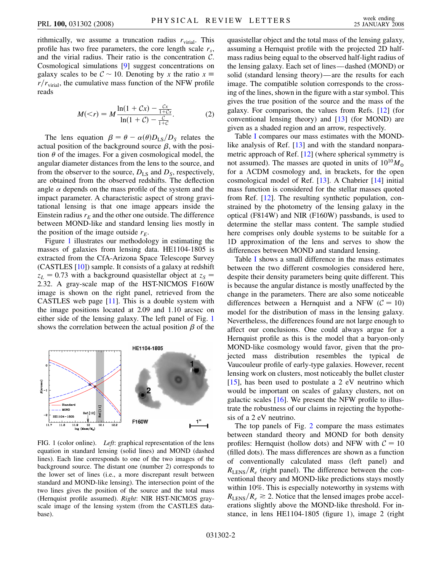rithmically, we assume a truncation radius  $r_{\text{virial}}$ . This profile has two free parameters, the core length scale  $r<sub>s</sub>$ , and the virial radius. Their ratio is the concentration  $C$ . Cosmological simulations [\[9\]](#page-3-11) suggest concentrations on galaxy scales to be  $C \sim 10$ . Denoting by x the ratio  $x \equiv$  $r/r_{\text{virial}}$ , the cumulative mass function of the NFW profile reads

$$
M( (2)
$$

The lens equation  $\beta = \theta - \alpha(\theta)D_{LS}/D_S$  relates the actual position of the background source  $\beta$ , with the position  $\theta$  of the images. For a given cosmological model, the angular diameter distances from the lens to the source, and from the observer to the source,  $D_{LS}$  and  $D_S$ , respectively, are obtained from the observed redshifts. The deflection angle  $\alpha$  depends on the mass profile of the system and the impact parameter. A characteristic aspect of strong gravitational lensing is that one image appears inside the Einstein radius  $r_E$  and the other one outside. The difference between MOND-like and standard lensing lies mostly in the position of the image outside  $r_E$ .

Figure [1](#page-1-0) illustrates our methodology in estimating the masses of galaxies from lensing data. HE1104-1805 is extracted from the CfA-Arizona Space Telescope Survey (CASTLES [[10](#page-3-12)]) sample. It consists of a galaxy at redshift  $z_L$  = 0.73 with a background quasistellar object at  $z_S$  = 2*:*32. A gray-scale map of the HST-NICMOS F160W image is shown on the right panel, retrieved from the CASTLES web page [[11](#page-3-13)]. This is a double system with the image positions located at 2.09 and 1.10 arcsec on either side of the lensing galaxy. The left panel of Fig. [1](#page-1-0) shows the correlation between the actual position  $\beta$  of the

<span id="page-1-0"></span>

FIG. 1 (color online). *Left*: graphical representation of the lens equation in standard lensing (solid lines) and MOND (dashed lines). Each line corresponds to one of the two images of the background source. The distant one (number 2) corresponds to the lower set of lines (i.e., a more discrepant result between standard and MOND-like lensing). The intersection point of the two lines gives the position of the source and the total mass (Hernquist profile assumed). *Right*: NIR HST-NICMOS grayscale image of the lensing system (from the CASTLES database).

quasistellar object and the total mass of the lensing galaxy, assuming a Hernquist profile with the projected 2D halfmass radius being equal to the observed half-light radius of the lensing galaxy. Each set of lines—dashed (MOND) or solid (standard lensing theory)—are the results for each image. The compatible solution corresponds to the crossing of the lines, shown in the figure with a star symbol. This gives the true position of the source and the mass of the galaxy. For comparison, the values from Refs. [\[12\]](#page-3-14) (for conventional lensing theory) and [[13](#page-3-15)] (for MOND) are given as a shaded region and an arrow, respectively.

Table [I](#page-2-0) compares our mass estimates with the MOND-like analysis of Ref. [[13](#page-3-15)] and with the standard nonparametric approach of Ref. [\[12\]](#page-3-14) (where spherical symmetry is not assumed). The masses are quoted in units of  $10^{10}M_{\odot}$ for a  $\Lambda$ CDM cosmology and, in brackets, for the open cosmological model of Ref. [\[13\]](#page-3-15). A Chabrier [[14](#page-3-16)] initial mass function is considered for the stellar masses quoted from Ref. [\[12\]](#page-3-14). The resulting synthetic population, constrained by the photometry of the lensing galaxy in the optical (F814W) and NIR (F160W) passbands, is used to determine the stellar mass content. The sample studied here comprises only double systems to be suitable for a 1D approximation of the lens and serves to show the differences between MOND and standard lensing.

Table [I](#page-2-0) shows a small difference in the mass estimates between the two different cosmologies considered here, despite their density parameters being quite different. This is because the angular distance is mostly unaffected by the change in the parameters. There are also some noticeable differences between a Hernquist and a NFW ( $C = 10$ ) model for the distribution of mass in the lensing galaxy. Nevertheless, the differences found are not large enough to affect our conclusions. One could always argue for a Hernquist profile as this is the model that a baryon-only MOND-like cosmology would favor, given that the projected mass distribution resembles the typical de Vaucouleur profile of early-type galaxies. However, recent lensing work on clusters, most noticeably the bullet cluster  $[15]$ , has been used to postulate a 2 eV neutrino which would be important on scales of galaxy clusters, not on galactic scales [[16](#page-3-18)]. We present the NFW profile to illustrate the robustness of our claims in rejecting the hypothesis of a 2 eV neutrino.

The top panels of Fig. [2](#page-2-1) compare the mass estimates between standard theory and MOND for both density profiles: Hernquist (hollow dots) and NFW with  $C = 10$ (filled dots). The mass differences are shown as a function of conventionally calculated mass (left panel) and  $R_{\text{LENS}}/R_e$  (right panel). The difference between the conventional theory and MOND-like predictions stays mostly within 10%. This is especially noteworthy in systems with  $R_{\text{LENS}}/R_e \geq 2$ . Notice that the lensed images probe accelerations slightly above the MOND-like threshold. For instance, in lens HE1104-1805 (figure 1), image 2 (right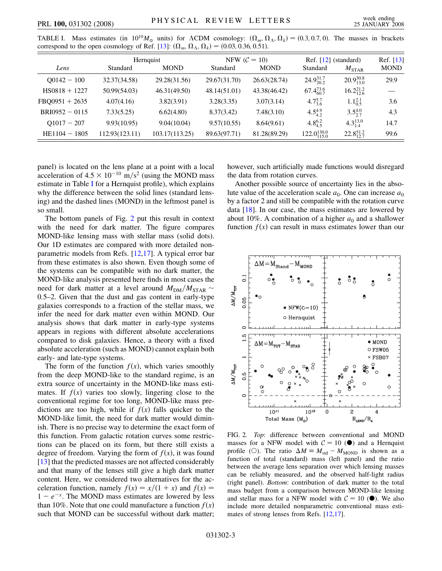|                  | Hernquist       |                | NFW $(\mathcal{C} = 10)$ |              | Ref. $[12]$ (standard)  |                      | Ref. [13]   |
|------------------|-----------------|----------------|--------------------------|--------------|-------------------------|----------------------|-------------|
| Lens             | <b>Standard</b> | <b>MOND</b>    | Standard                 | <b>MOND</b>  | Standard                | $M_{\rm STAR}$       | <b>MOND</b> |
| $00142 - 100$    | 32.37(34.58)    | 29.28(31.56)   | 29.67(31.70)             | 26.63(28.74) | $24.9_{20.2}^{31.7}$    | $20.9_{13.0}^{30.8}$ | 29.9        |
| $HS0818 + 1227$  | 50.99(54.03)    | 46.31(49.50)   | 48.14(51.01)             | 43.38(46.42) | $67.4_{60.7}^{73.6}$    | $16.2_{12.6}^{21.2}$ |             |
| $FBQ0951 + 2635$ | 4.07(4.16)      | 3.82(3.91)     | 3.28(3.35)               | 3.07(3.14)   | $4.7\frac{5.7}{3.6}$    | $1.1_{0.5}^{2.1}$    | 3.6         |
| $BRIO952 - 0115$ | 7.33(5.25)      | 6.62(4.80)     | 8.37(3.42)               | 7.48(3.10)   | $4.5^{4.9}_{4.2}$       | $3.5^{4.0}_{2.7}$    | 4.3         |
| $Q1017 - 207$    | 9.93(10.95)     | 9.04(10.04)    | 9.57(10.55)              | 8.64(9.61)   | 4.8 $^{6.2}_{4.5}$      | $4.3_{1.4}^{13.0}$   | 14.7        |
| $HE1104 - 1805$  | 112.93(123.11)  | 103.17(113.25) | 89.63(97.71)             | 81.28(89.29) | $122.0_{115.0}^{130.0}$ | $22.8_{12.7}^{51.2}$ | 99.6        |

<span id="page-2-0"></span>TABLE I. Mass estimates (in  $10^{10}M_{\odot}$  units) for  $\Lambda$ CDM cosmology:  $(\Omega_m, \Omega_\Lambda, \Omega_k) = (0.3, 0.7, 0)$ . The masses in brackets correspond to the open cosmology of Ref. [\[13\]](#page-3-15):  $(\Omega_m, \Omega_{\Lambda}, \Omega_k) = (0.03, 0.36, 0.51)$ .

panel) is located on the lens plane at a point with a local acceleration of  $4.5 \times 10^{-10}$  m/s<sup>2</sup> (using the MOND mass estimate in Table [I](#page-2-0) for a Hernquist profile), which explains why the difference between the solid lines (standard lensing) and the dashed lines (MOND) in the leftmost panel is so small.

The bottom panels of Fig. [2](#page-2-1) put this result in context with the need for dark matter. The figure compares MOND-like lensing mass with stellar mass (solid dots). Our 1D estimates are compared with more detailed nonparametric models from Refs. [\[12,](#page-3-14)[17\]](#page-3-19). A typical error bar from these estimates is also shown. Even though some of the systems can be compatible with no dark matter, the MOND-like analysis presented here finds in most cases the need for dark matter at a level around  $M_{DM}/M_{STAR} \sim$ 0*:*5–2. Given that the dust and gas content in early-type galaxies corresponds to a fraction of the stellar mass, we infer the need for dark matter even within MOND. Our analysis shows that dark matter in early-type systems appears in regions with different absolute accelerations compared to disk galaxies. Hence, a theory with a fixed absolute acceleration (such as MOND) cannot explain both early- and late-type systems.

The form of the function  $f(x)$ , which varies smoothly from the deep MOND-like to the standard regime, is an extra source of uncertainty in the MOND-like mass estimates. If  $f(x)$  varies too slowly, lingering close to the conventional regime for too long, MOND-like mass predictions are too high, while if  $f(x)$  falls quicker to the MOND-like limit, the need for dark matter would diminish. There is no precise way to determine the exact form of this function. From galactic rotation curves some restrictions can be placed on its form, but there still exists a degree of freedom. Varying the form of  $f(x)$ , it was found [\[13\]](#page-3-15) that the predicted masses are not affected considerably and that many of the lenses still give a high dark matter content. Here, we considered two alternatives for the acceleration function, namely  $f(x) = x/(1 + x)$  and  $f(x) =$  $1 - e^{-x}$ . The MOND mass estimates are lowered by less than 10%. Note that one could manufacture a function  $f(x)$ such that MOND can be successful without dark matter; however, such artificially made functions would disregard the data from rotation curves.

Another possible source of uncertainty lies in the absolute value of the acceleration scale  $a_0$ . One can increase  $a_0$ by a factor 2 and still be compatible with the rotation curve data [\[18\]](#page-3-20). In our case, the mass estimates are lowered by about 10%. A combination of a higher  $a_0$  and a shallower function  $f(x)$  can result in mass estimates lower than our

<span id="page-2-1"></span>

FIG. 2. *Top*: difference between conventional and MOND masses for a NFW model with  $C = 10$  ( $\bullet$ ) and a Hernquist profile (O). The ratio  $\Delta M \equiv M_{\text{std}} - M_{\text{MOND}}$  is shown as a function of total (standard) mass (left panel) and the ratio between the average lens separation over which lensing masses can be reliably measured, and the observed half-light radius (right panel). *Bottom*: contribution of dark matter to the total mass budget from a comparison between MOND-like lensing and stellar mass for a NFW model with  $C = 10$  ( $\bullet$ ). We also include more detailed nonparametric conventional mass estimates of strong lenses from Refs. [\[12,](#page-3-14)[17\]](#page-3-19).